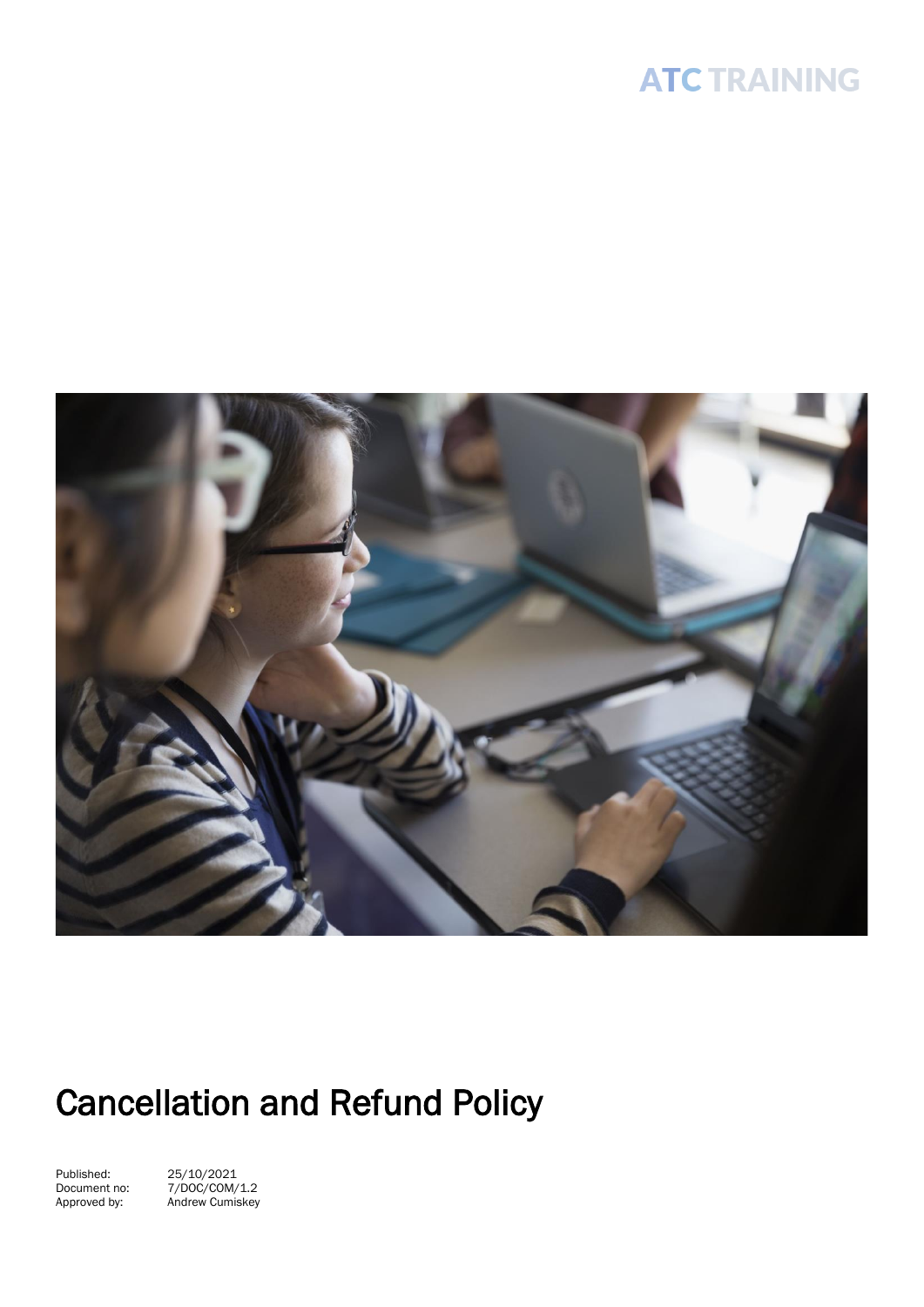## **ATC TRAINING**



# Cancellation and Refund Policy

Published: 25/10/2021

Document no: 7/DOC/COM/1.2 Approved by: Andrew Cumiskey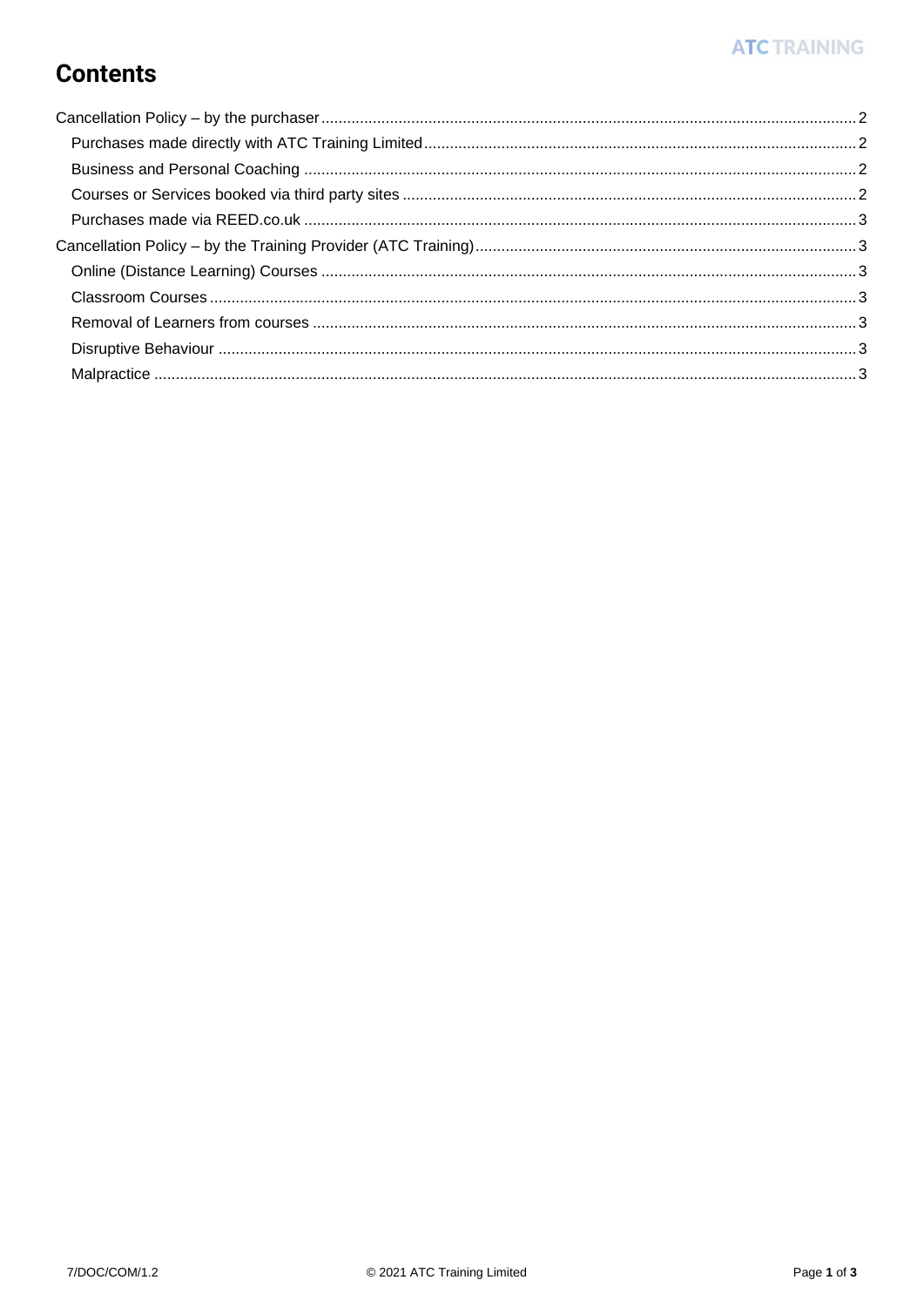### **Contents**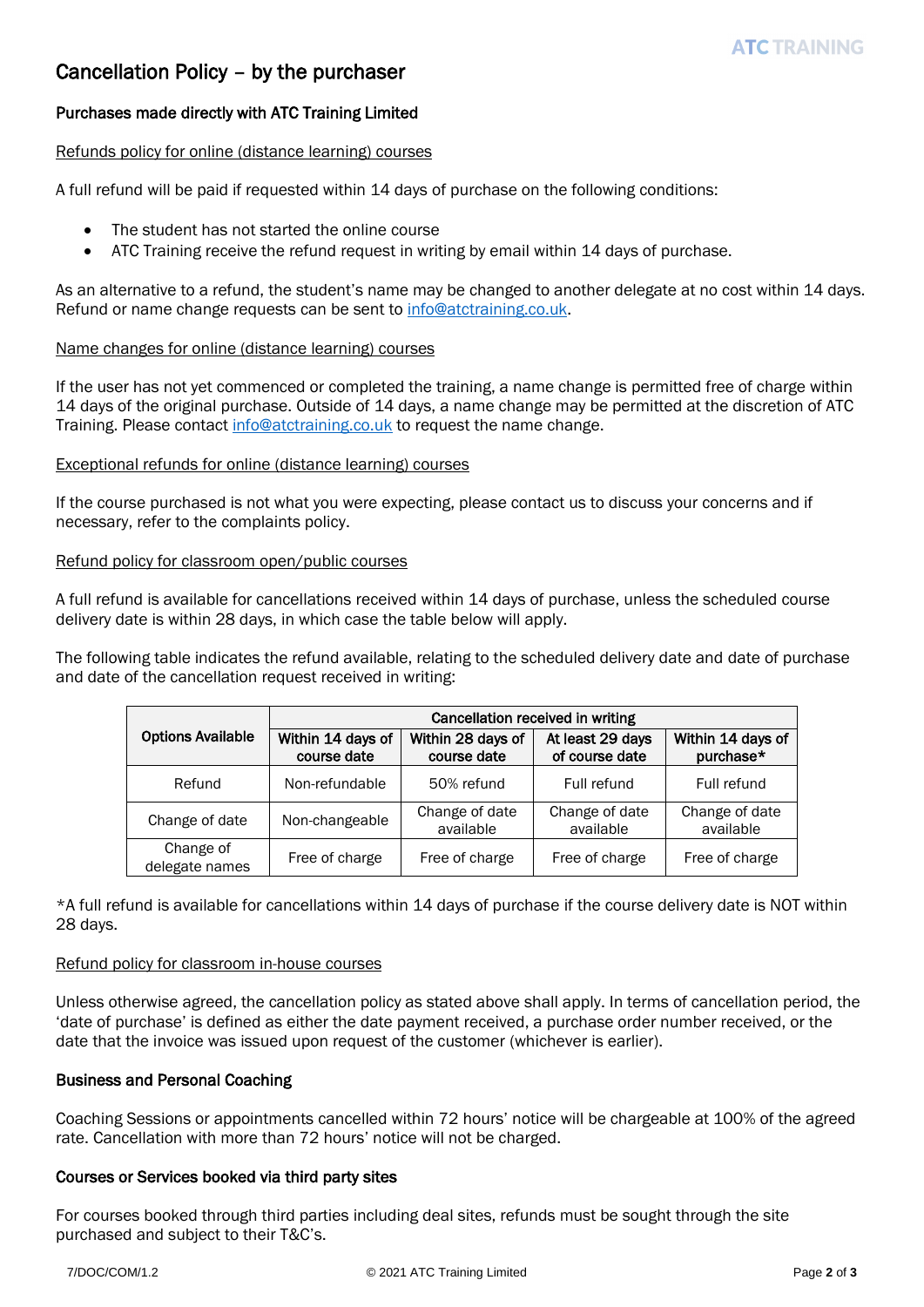#### <span id="page-2-0"></span>Cancellation Policy – by the purchaser

#### <span id="page-2-1"></span>Purchases made directly with ATC Training Limited

#### Refunds policy for online (distance learning) courses

A full refund will be paid if requested within 14 days of purchase on the following conditions:

- The student has not started the online course
- ATC Training receive the refund request in writing by email within 14 days of purchase.

As an alternative to a refund, the student's name may be changed to another delegate at no cost within 14 days. Refund or name change requests can be sent to [info@atctraining.co.uk.](mailto:info@atctraining.co.uk)

#### Name changes for online (distance learning) courses

If the user has not yet commenced or completed the training, a name change is permitted free of charge within 14 days of the original purchase. Outside of 14 days, a name change may be permitted at the discretion of ATC Training. Please contac[t info@atctraining.co.uk](mailto:info@atctraining.co.uk) to request the name change.

#### Exceptional refunds for online (distance learning) courses

If the course purchased is not what you were expecting, please contact us to discuss your concerns and if necessary, refer to the complaints policy.

#### Refund policy for classroom open/public courses

A full refund is available for cancellations received within 14 days of purchase, unless the scheduled course delivery date is within 28 days, in which case the table below will apply.

The following table indicates the refund available, relating to the scheduled delivery date and date of purchase and date of the cancellation request received in writing:

|                             | Cancellation received in writing |                                  |                                    |                                |
|-----------------------------|----------------------------------|----------------------------------|------------------------------------|--------------------------------|
| <b>Options Available</b>    | Within 14 days of<br>course date | Within 28 days of<br>course date | At least 29 days<br>of course date | Within 14 days of<br>purchase* |
| Refund                      | Non-refundable                   | 50% refund                       | Full refund                        | Full refund                    |
| Change of date              | Non-changeable                   | Change of date<br>available      | Change of date<br>available        | Change of date<br>available    |
| Change of<br>delegate names | Free of charge                   | Free of charge                   | Free of charge                     | Free of charge                 |

\*A full refund is available for cancellations within 14 days of purchase if the course delivery date is NOT within 28 days.

#### Refund policy for classroom in-house courses

Unless otherwise agreed, the cancellation policy as stated above shall apply. In terms of cancellation period, the 'date of purchase' is defined as either the date payment received, a purchase order number received, or the date that the invoice was issued upon request of the customer (whichever is earlier).

#### <span id="page-2-2"></span>Business and Personal Coaching

Coaching Sessions or appointments cancelled within 72 hours' notice will be chargeable at 100% of the agreed rate. Cancellation with more than 72 hours' notice will not be charged.

#### <span id="page-2-3"></span>Courses or Services booked via third party sites

For courses booked through third parties including deal sites, refunds must be sought through the site purchased and subject to their T&C's.